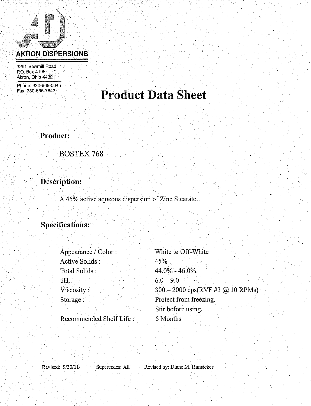# **AKRON DISPERSIONS**

3291 Sawmill Road P.O. Box 4195 Akron, Ohio 44321

Phone: 330-666-0045 Fax: 330-666-7842

## **Product Data Sheet**

Product:

**BOSTEX 768** 

Description:

A 45% active aqueous dispersion of Zinc Stearate.

### **Specifications:**

| Appearance / Color :    | White to Off-White               |
|-------------------------|----------------------------------|
| Active Solids:          | 45%                              |
| Total Solids :          | $44.0\% - 46.0\%$                |
| $pH$ :                  | $6.0 - 9.0$                      |
| Viscosity:              | 300 - 2000 cps(RVF #3 @ 10 RPMs) |
| Storage:                | Protect from freezing.           |
|                         | Stir before using.               |
| Recommended Shelf Life: | 6 Months                         |

Revised: 9/30/11

Supercedes: All

Revised by: Diane M. Hunsicker-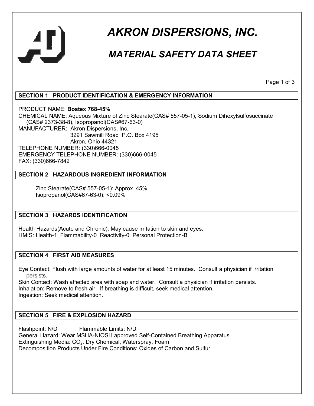

## *AKRON DISPERSIONS, INC.*

## *MATERIAL SAFETY DATA SHEET*

Page 1 of 3

#### **SECTION 1 PRODUCT IDENTIFICATION & EMERGENCY INFORMATION**

PRODUCT NAME: **Bostex 768-45%** CHEMICAL NAME: Aqueous Mixture of Zinc Stearate(CAS# 557-05-1), Sodium Dihexylsulfosuccinate (CAS# 2373-38-8), Isopropanol(CAS#67-63-0) MANUFACTURER: Akron Dispersions, Inc. 3291 Sawmill Road P.O. Box 4195 Akron, Ohio 44321 TELEPHONE NUMBER: (330)666-0045 EMERGENCY TELEPHONE NUMBER: (330)666-0045 FAX: (330)666-7842

#### **SECTION 2 HAZARDOUS INGREDIENT INFORMATION**

 Zinc Stearate(CAS# 557-05-1): Approx. 45% Isopropanol(CAS#67-63-0): <0.09%

#### **SECTION 3 HAZARDS IDENTIFICATION**

Health Hazards(Acute and Chronic): May cause irritation to skin and eyes. HMIS: Health-1 Flammability-0 Reactivity-0 Personal Protection-B

#### **SECTION 4 FIRST AID MEASURES**

Eye Contact: Flush with large amounts of water for at least 15 minutes. Consult a physician if irritation persists.

Skin Contact: Wash affected area with soap and water. Consult a physician if irritation persists. Inhalation: Remove to fresh air. If breathing is difficult, seek medical attention. Ingestion: Seek medical attention.

#### **SECTION 5 FIRE & EXPLOSION HAZARD**

Flashpoint: N/D Flammable Limits: N/D General Hazard: Wear MSHA-NIOSH approved Self-Contained Breathing Apparatus Extinguishing Media:  $CO<sub>2</sub>$ , Dry Chemical, Waterspray, Foam Decomposition Products Under Fire Conditions: Oxides of Carbon and Sulfur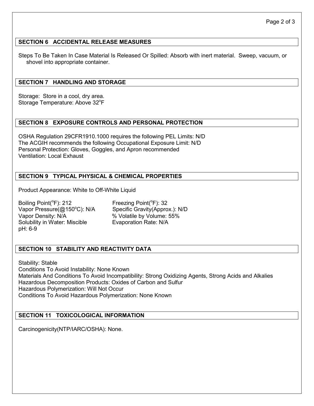#### **SECTION 6 ACCIDENTAL RELEASE MEASURES**

Steps To Be Taken In Case Material Is Released Or Spilled: Absorb with inert material. Sweep, vacuum, or shovel into appropriate container.

#### **SECTION 7 HANDLING AND STORAGE**

Storage: Store in a cool, dry area. Storage Temperature: Above 32°F

#### **SECTION 8 EXPOSURE CONTROLS AND PERSONAL PROTECTION**

OSHA Regulation 29CFR1910.1000 requires the following PEL Limits: N/D The ACGIH recommends the following Occupational Exposure Limit: N/D Personal Protection: Gloves, Goggles, and Apron recommended Ventilation: Local Exhaust

#### **SECTION 9 TYPICAL PHYSICAL & CHEMICAL PROPERTIES**

Product Appearance: White to Off-White Liquid

Boiling Point(°F): 212 Freezing Point(°F): 32 Vapor Pressure(@150°C): N/A Specific Gravity(Approx.): N/D Vapor Density: N/A % Volatile by Volume: 55% Solubility in Water: Miscible Evaporation Rate: N/A pH: 6-9

#### **SECTION 10 STABILITY AND REACTIVITY DATA**

Stability: Stable Conditions To Avoid Instability: None Known Materials And Conditions To Avoid Incompatibility: Strong Oxidizing Agents, Strong Acids and Alkalies Hazardous Decomposition Products: Oxides of Carbon and Sulfur Hazardous Polymerization: Will Not Occur Conditions To Avoid Hazardous Polymerization: None Known

#### **SECTION 11 TOXICOLOGICAL INFORMATION**

Carcinogenicity(NTP/IARC/OSHA): None.